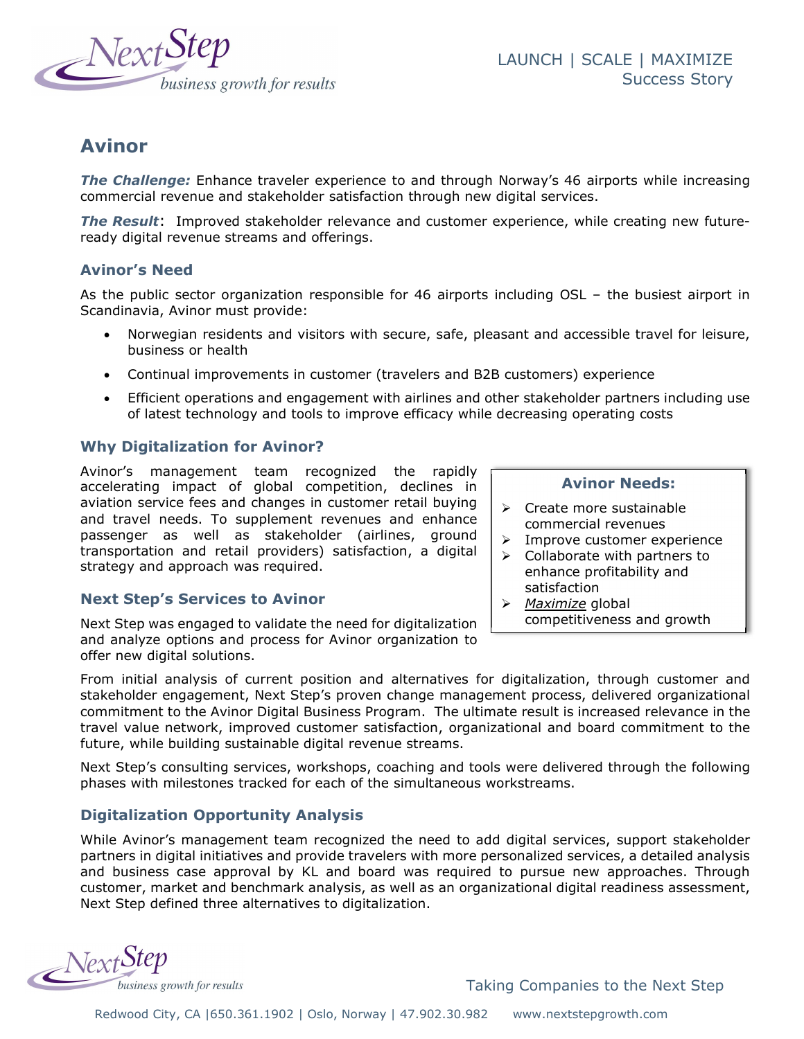

# Avinor

The Challenge: Enhance traveler experience to and through Norway's 46 airports while increasing commercial revenue and stakeholder satisfaction through new digital services.

**The Result:** Improved stakeholder relevance and customer experience, while creating new futureready digital revenue streams and offerings.

## Avinor's Need

As the public sector organization responsible for 46 airports including OSL – the busiest airport in Scandinavia, Avinor must provide:

- Norwegian residents and visitors with secure, safe, pleasant and accessible travel for leisure, business or health
- Continual improvements in customer (travelers and B2B customers) experience
- Efficient operations and engagement with airlines and other stakeholder partners including use of latest technology and tools to improve efficacy while decreasing operating costs

## Why Digitalization for Avinor?

Avinor's management team recognized the rapidly accelerating impact of global competition, declines in aviation service fees and changes in customer retail buying and travel needs. To supplement revenues and enhance passenger as well as stakeholder (airlines, ground transportation and retail providers) satisfaction, a digital strategy and approach was required.

# Next Step's Services to Avinor

Next Step was engaged to validate the need for digitalization and analyze options and process for Avinor organization to offer new digital solutions.

#### Avinor Needs:

- $\triangleright$  Create more sustainable commercial revenues
- $\triangleright$  Improve customer experience
- $\triangleright$  Collaborate with partners to enhance profitability and satisfaction
- $\triangleright$  Maximize global competitiveness and growth

From initial analysis of current position and alternatives for digitalization, through customer and stakeholder engagement, Next Step's proven change management process, delivered organizational commitment to the Avinor Digital Business Program. The ultimate result is increased relevance in the travel value network, improved customer satisfaction, organizational and board commitment to the future, while building sustainable digital revenue streams.

Next Step's consulting services, workshops, coaching and tools were delivered through the following phases with milestones tracked for each of the simultaneous workstreams.

# Digitalization Opportunity Analysis

While Avinor's management team recognized the need to add digital services, support stakeholder partners in digital initiatives and provide travelers with more personalized services, a detailed analysis and business case approval by KL and board was required to pursue new approaches. Through customer, market and benchmark analysis, as well as an organizational digital readiness assessment, Next Step defined three alternatives to digitalization.

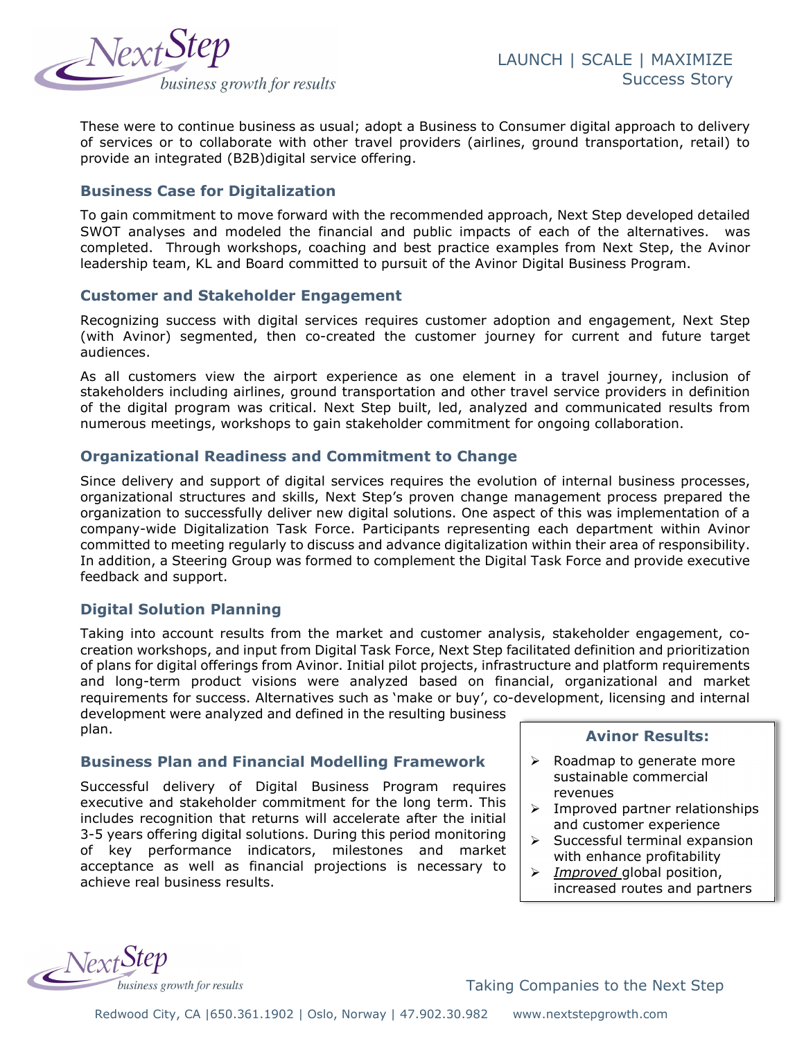

These were to continue business as usual; adopt a Business to Consumer digital approach to delivery of services or to collaborate with other travel providers (airlines, ground transportation, retail) to provide an integrated (B2B)digital service offering.

## Business Case for Digitalization

To gain commitment to move forward with the recommended approach, Next Step developed detailed SWOT analyses and modeled the financial and public impacts of each of the alternatives. was completed. Through workshops, coaching and best practice examples from Next Step, the Avinor leadership team, KL and Board committed to pursuit of the Avinor Digital Business Program.

### Customer and Stakeholder Engagement

Recognizing success with digital services requires customer adoption and engagement, Next Step (with Avinor) segmented, then co-created the customer journey for current and future target audiences.

As all customers view the airport experience as one element in a travel journey, inclusion of stakeholders including airlines, ground transportation and other travel service providers in definition of the digital program was critical. Next Step built, led, analyzed and communicated results from numerous meetings, workshops to gain stakeholder commitment for ongoing collaboration.

### Organizational Readiness and Commitment to Change

Since delivery and support of digital services requires the evolution of internal business processes, organizational structures and skills, Next Step's proven change management process prepared the organization to successfully deliver new digital solutions. One aspect of this was implementation of a company-wide Digitalization Task Force. Participants representing each department within Avinor committed to meeting regularly to discuss and advance digitalization within their area of responsibility. In addition, a Steering Group was formed to complement the Digital Task Force and provide executive feedback and support.

### Digital Solution Planning

Taking into account results from the market and customer analysis, stakeholder engagement, cocreation workshops, and input from Digital Task Force, Next Step facilitated definition and prioritization of plans for digital offerings from Avinor. Initial pilot projects, infrastructure and platform requirements and long-term product visions were analyzed based on financial, organizational and market requirements for success. Alternatives such as 'make or buy', co-development, licensing and internal development were analyzed and defined in the resulting business

plan.

### Business Plan and Financial Modelling Framework

Successful delivery of Digital Business Program requires executive and stakeholder commitment for the long term. This includes recognition that returns will accelerate after the initial 3-5 years offering digital solutions. During this period monitoring of key performance indicators, milestones and market acceptance as well as financial projections is necessary to achieve real business results.

#### Avinor Results:

- $\triangleright$  Roadmap to generate more sustainable commercial revenues
- $\triangleright$  Improved partner relationships and customer experience
- $\triangleright$  Successful terminal expansion with enhance profitability
- $\triangleright$  *Improved* global position, increased routes and partners

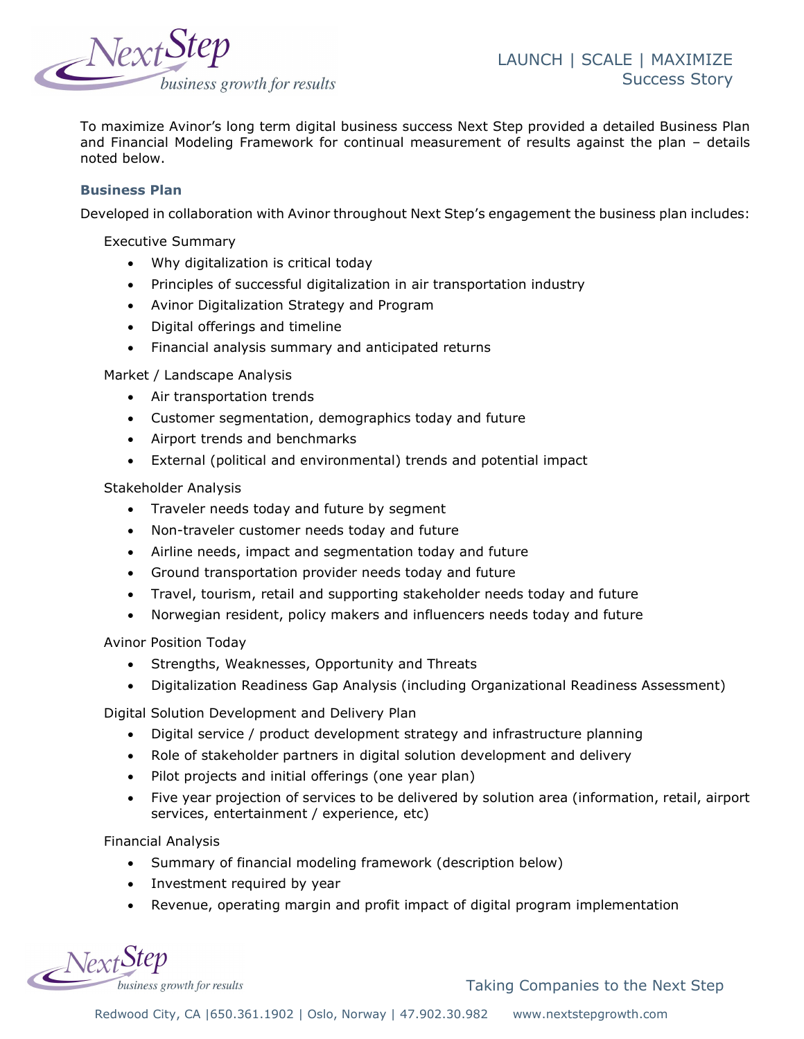

To maximize Avinor's long term digital business success Next Step provided a detailed Business Plan and Financial Modeling Framework for continual measurement of results against the plan – details noted below.

#### Business Plan

Developed in collaboration with Avinor throughout Next Step's engagement the business plan includes:

Executive Summary

- Why digitalization is critical today
- Principles of successful digitalization in air transportation industry
- Avinor Digitalization Strategy and Program
- Digital offerings and timeline
- Financial analysis summary and anticipated returns

Market / Landscape Analysis

- Air transportation trends
- Customer segmentation, demographics today and future
- Airport trends and benchmarks
- External (political and environmental) trends and potential impact

Stakeholder Analysis

- Traveler needs today and future by segment
- Non-traveler customer needs today and future
- Airline needs, impact and segmentation today and future
- Ground transportation provider needs today and future
- Travel, tourism, retail and supporting stakeholder needs today and future
- Norwegian resident, policy makers and influencers needs today and future

Avinor Position Today

- Strengths, Weaknesses, Opportunity and Threats
- Digitalization Readiness Gap Analysis (including Organizational Readiness Assessment)

Digital Solution Development and Delivery Plan

- Digital service / product development strategy and infrastructure planning
- Role of stakeholder partners in digital solution development and delivery
- Pilot projects and initial offerings (one year plan)
- Five year projection of services to be delivered by solution area (information, retail, airport services, entertainment / experience, etc)

Financial Analysis

- Summary of financial modeling framework (description below)
- Investment required by year
- Revenue, operating margin and profit impact of digital program implementation

NextStep business growth for results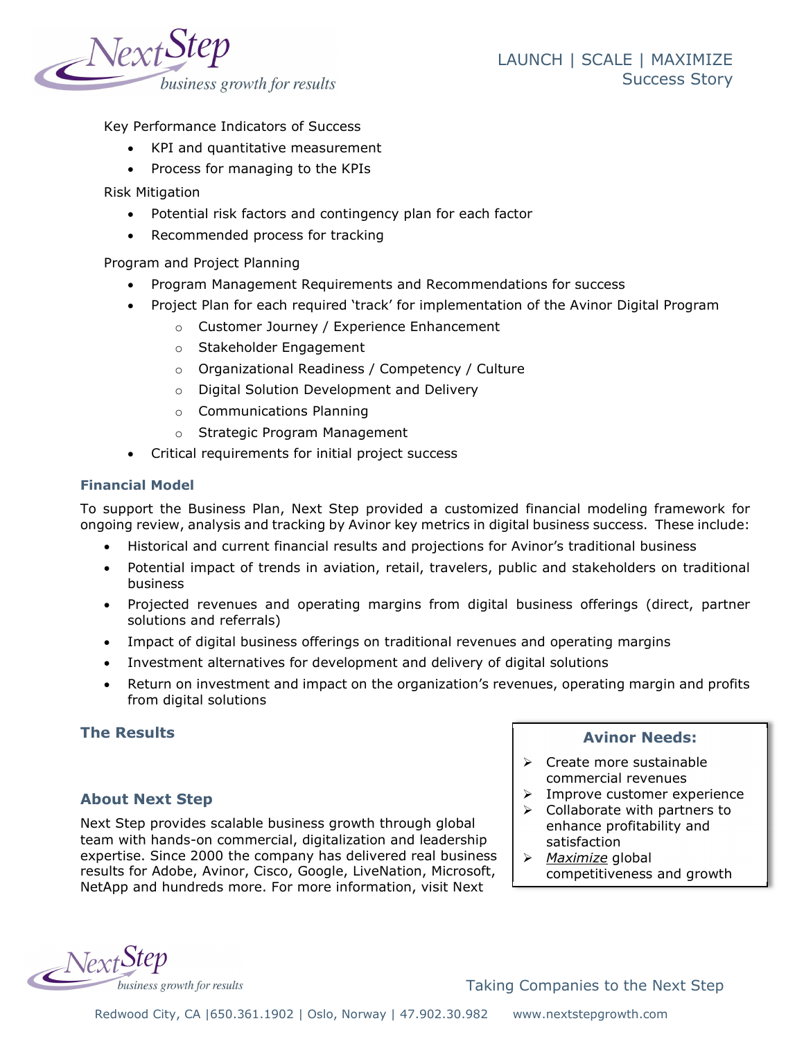

Key Performance Indicators of Success

- KPI and quantitative measurement
- Process for managing to the KPIs

Risk Mitigation

- Potential risk factors and contingency plan for each factor
- Recommended process for tracking

Program and Project Planning

- Program Management Requirements and Recommendations for success
- Project Plan for each required 'track' for implementation of the Avinor Digital Program
	- o Customer Journey / Experience Enhancement
	- o Stakeholder Engagement
	- o Organizational Readiness / Competency / Culture
	- o Digital Solution Development and Delivery
	- o Communications Planning
	- o Strategic Program Management
- Critical requirements for initial project success

#### Financial Model

To support the Business Plan, Next Step provided a customized financial modeling framework for ongoing review, analysis and tracking by Avinor key metrics in digital business success. These include:

- Historical and current financial results and projections for Avinor's traditional business
- Potential impact of trends in aviation, retail, travelers, public and stakeholders on traditional business
- Projected revenues and operating margins from digital business offerings (direct, partner solutions and referrals)
- Impact of digital business offerings on traditional revenues and operating margins
- Investment alternatives for development and delivery of digital solutions
- Return on investment and impact on the organization's revenues, operating margin and profits from digital solutions

### The Results

### About Next Step

Next Step provides scalable business growth through global team with hands-on commercial, digitalization and leadership expertise. Since 2000 the company has delivered real business results for Adobe, Avinor, Cisco, Google, LiveNation, Microsoft, NetApp and hundreds more. For more information, visit Next

### Avinor Needs:

- $\triangleright$  Create more sustainable commercial revenues
- $\triangleright$  Improve customer experience
- $\triangleright$  Collaborate with partners to enhance profitability and satisfaction
- $\triangleright$  Maximize global competitiveness and growth